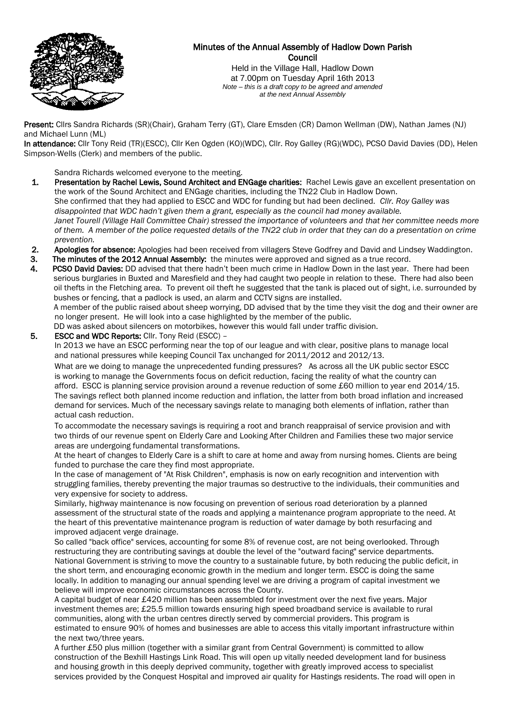

# Minutes of the Annual Assembly of Hadlow Down Parish **Council**

Held in the Village Hall, Hadlow Down at 7.00pm on Tuesday April 16th 2013 *Note – this is a draft copy to be agreed and amended at the next Annual Assembly*

Present: Cllrs Sandra Richards (SR)(Chair), Graham Terry (GT), Clare Emsden (CR) Damon Wellman (DW), Nathan James (NJ) and Michael Lunn (ML)

In attendance: Cllr Tony Reid (TR)(ESCC), Cllr Ken Ogden (KO)(WDC), Cllr. Roy Galley (RG)(WDC), PCSO David Davies (DD), Helen Simpson-Wells (Clerk) and members of the public.

Sandra Richards welcomed everyone to the meeting.

- 1. Presentation by Rachel Lewis, Sound Architect and ENGage charities: Rachel Lewis gave an excellent presentation on the work of the Sound Architect and ENGage charities, including the TN22 Club in Hadlow Down. She confirmed that they had applied to ESCC and WDC for funding but had been declined. *Cllr. Roy Galley was disappointed that WDC hadn't given them a grant, especially as the council had money available. Janet Tourell (Village Hall Committee Chair) stressed the importance of volunteers and that her committee needs more of them. A member of the police requested details of the TN22 club in order that they can do a presentation on crime prevention.*
- 2. Apologies for absence: Apologies had been received from villagers Steve Godfrey and David and Lindsey Waddington.
- 3. The minutes of the 2012 Annual Assembly: the minutes were approved and signed as a true record.
- 4. PCSO David Davies: DD advised that there hadn't been much crime in Hadlow Down in the last year. There had been serious burglaries in Buxted and Maresfield and they had caught two people in relation to these. There had also been oil thefts in the Fletching area. To prevent oil theft he suggested that the tank is placed out of sight, i.e. surrounded by bushes or fencing, that a padlock is used, an alarm and CCTV signs are installed. A member of the public raised about sheep worrying, DD advised that by the time they visit the dog and their owner are no longer present. He will look into a case highlighted by the member of the public.

DD was asked about silencers on motorbikes, however this would fall under traffic division.

 5. ESCC and WDC Reports: Cllr. Tony Reid (ESCC) – In 2013 we have an ESCC performing near the top of our league and with clear, positive plans to manage local and national pressures while keeping Council Tax unchanged for 2011/2012 and 2012/13. What are we doing to manage the unprecedented funding pressures? As across all the UK public sector ESCC is working to manage the Governments focus on deficit reduction, facing the reality of what the country can afford. ESCC is planning service provision around a revenue reduction of some £60 million to year end 2014/15.

The savings reflect both planned income reduction and inflation, the latter from both broad inflation and increased demand for services. Much of the necessary savings relate to managing both elements of inflation, rather than actual cash reduction.

To accommodate the necessary savings is requiring a root and branch reappraisal of service provision and with two thirds of our revenue spent on Elderly Care and Looking After Children and Families these two major service areas are undergoing fundamental transformations.

At the heart of changes to Elderly Care is a shift to care at home and away from nursing homes. Clients are being funded to purchase the care they find most appropriate.

In the case of management of "At Risk Children", emphasis is now on early recognition and intervention with struggling families, thereby preventing the major traumas so destructive to the individuals, their communities and very expensive for society to address.

Similarly, highway maintenance is now focusing on prevention of serious road deterioration by a planned assessment of the structural state of the roads and applying a maintenance program appropriate to the need. At the heart of this preventative maintenance program is reduction of water damage by both resurfacing and improved adjacent verge drainage.

So called "back office" services, accounting for some 8% of revenue cost, are not being overlooked. Through restructuring they are contributing savings at double the level of the "outward facing" service departments. National Government is striving to move the country to a sustainable future, by both reducing the public deficit, in the short term, and encouraging economic growth in the medium and longer term. ESCC is doing the same locally. In addition to managing our annual spending level we are driving a program of capital investment we believe will improve economic circumstances across the County.

A capital budget of near £420 million has been assembled for investment over the next five years. Major investment themes are; £25.5 million towards ensuring high speed broadband service is available to rural communities, along with the urban centres directly served by commercial providers. This program is estimated to ensure 90% of homes and businesses are able to access this vitally important infrastructure within the next two/three years.

A further £50 plus million (together with a similar grant from Central Government) is committed to allow construction of the Bexhill Hastings Link Road. This will open up vitally needed development land for business and housing growth in this deeply deprived community, together with greatly improved access to specialist services provided by the Conquest Hospital and improved air quality for Hastings residents. The road will open in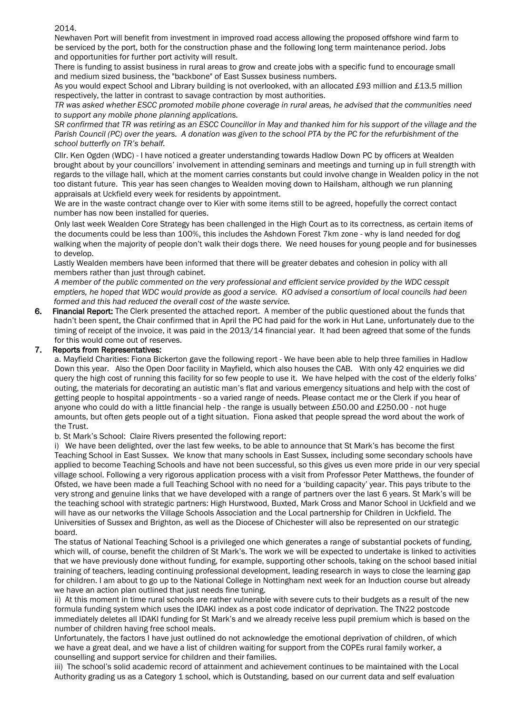2014.

Newhaven Port will benefit from investment in improved road access allowing the proposed offshore wind farm to be serviced by the port, both for the construction phase and the following long term maintenance period. Jobs and opportunities for further port activity will result.

There is funding to assist business in rural areas to grow and create jobs with a specific fund to encourage small and medium sized business, the "backbone" of East Sussex business numbers.

As you would expect School and Library building is not overlooked, with an allocated £93 million and £13.5 million respectively, the latter in contrast to savage contraction by most authorities.

*TR was asked whether ESCC promoted mobile phone coverage in rural areas, he advised that the communities need to support any mobile phone planning applications.*

*SR confirmed that TR was retiring as an ESCC Councillor in May and thanked him for his support of the village and the Parish Council (PC) over the years. A donation was given to the school PTA by the PC for the refurbishment of the school butterfly on TR's behalf.* 

Cllr. Ken Ogden (WDC) - I have noticed a greater understanding towards Hadlow Down PC by officers at Wealden brought about by your councillors' involvement in attending seminars and meetings and turning up in full strength with regards to the village hall, which at the moment carries constants but could involve change in Wealden policy in the not too distant future. This year has seen changes to Wealden moving down to Hailsham, although we run planning appraisals at Uckfield every week for residents by appointment.

We are in the waste contract change over to Kier with some items still to be agreed, hopefully the correct contact number has now been installed for queries.

Only last week Wealden Core Strategy has been challenged in the High Court as to its correctness, as certain items of the documents could be less than 100%, this includes the Ashdown Forest 7km zone - why is land needed for dog walking when the majority of people don't walk their dogs there. We need houses for young people and for businesses to develop.

 Lastly Wealden members have been informed that there will be greater debates and cohesion in policy with all members rather than just through cabinet.

*A member of the public commented on the very professional and efficient service provided by the WDC cesspit emptiers, he hoped that WDC would provide as good a service. KO advised a consortium of local councils had been formed and this had reduced the overall cost of the waste service.* 

6. Financial Report: The Clerk presented the attached report. A member of the public questioned about the funds that hadn't been spent, the Chair confirmed that in April the PC had paid for the work in Hut Lane, unfortunately due to the timing of receipt of the invoice, it was paid in the 2013/14 financial year. It had been agreed that some of the funds for this would come out of reserves.

# 7. Reports from Representatives:

a. Mayfield Charities: Fiona Bickerton gave the following report - We have been able to help three families in Hadlow Down this year. Also the Open Door facility in Mayfield, which also houses the CAB. With only 42 enquiries we did query the high cost of running this facility for so few people to use it. We have helped with the cost of the elderly folks' outing, the materials for decorating an autistic man's flat and various emergency situations and help with the cost of getting people to hospital appointments - so a varied range of needs. Please contact me or the Clerk if you hear of anyone who could do with a little financial help - the range is usually between £50.00 and £250.00 - not huge amounts, but often gets people out of a tight situation. Fiona asked that people spread the word about the work of the Trust.

b. St Mark's School: Claire Rivers presented the following report:

i) We have been delighted, over the last few weeks, to be able to announce that St Mark's has become the first Teaching School in East Sussex. We know that many schools in East Sussex, including some secondary schools have applied to become Teaching Schools and have not been successful, so this gives us even more pride in our very special village school. Following a very rigorous application process with a visit from Professor Peter Matthews, the founder of Ofsted, we have been made a full Teaching School with no need for a 'building capacity' year. This pays tribute to the very strong and genuine links that we have developed with a range of partners over the last 6 years. St Mark's will be the teaching school with strategic partners: High Hurstwood, Buxted, Mark Cross and Manor School in Uckfield and we will have as our networks the Village Schools Association and the Local partnership for Children in Uckfield. The Universities of Sussex and Brighton, as well as the Diocese of Chichester will also be represented on our strategic board.

 The status of National Teaching School is a privileged one which generates a range of substantial pockets of funding, which will, of course, benefit the children of St Mark's. The work we will be expected to undertake is linked to activities that we have previously done without funding, for example, supporting other schools, taking on the school based initial training of teachers, leading continuing professional development, leading research in ways to close the learning gap for children. I am about to go up to the National College in Nottingham next week for an Induction course but already we have an action plan outlined that just needs fine tuning.

 ii) At this moment in time rural schools are rather vulnerable with severe cuts to their budgets as a result of the new formula funding system which uses the IDAKI index as a post code indicator of deprivation. The TN22 postcode immediately deletes all IDAKI funding for St Mark's and we already receive less pupil premium which is based on the number of children having free school meals.

Unfortunately, the factors I have just outlined do not acknowledge the emotional deprivation of children, of which we have a great deal, and we have a list of children waiting for support from the COPEs rural family worker, a counselling and support service for children and their families.

iii) The school's solid academic record of attainment and achievement continues to be maintained with the Local Authority grading us as a Category 1 school, which is Outstanding, based on our current data and self evaluation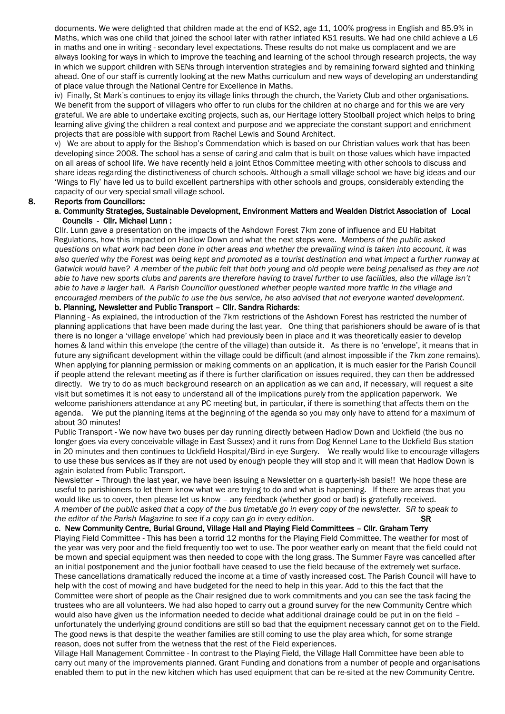documents. We were delighted that children made at the end of KS2, age 11, 100% progress in English and 85.9% in Maths, which was one child that joined the school later with rather inflated KS1 results. We had one child achieve a L6 in maths and one in writing - secondary level expectations. These results do not make us complacent and we are always looking for ways in which to improve the teaching and learning of the school through research projects, the way in which we support children with SENs through intervention strategies and by remaining forward sighted and thinking ahead. One of our staff is currently looking at the new Maths curriculum and new ways of developing an understanding of place value through the National Centre for Excellence in Maths.

iv) Finally, St Mark's continues to enjoy its village links through the church, the Variety Club and other organisations. We benefit from the support of villagers who offer to run clubs for the children at no charge and for this we are very grateful. We are able to undertake exciting projects, such as, our Heritage lottery Stoolball project which helps to bring learning alive giving the children a real context and purpose and we appreciate the constant support and enrichment projects that are possible with support from Rachel Lewis and Sound Architect.

v) We are about to apply for the Bishop's Commendation which is based on our Christian values work that has been developing since 2008. The school has a sense of caring and calm that is built on those values which have impacted on all areas of school life. We have recently held a joint Ethos Committee meeting with other schools to discuss and share ideas regarding the distinctiveness of church schools. Although a small village school we have big ideas and our 'Wings to Fly' have led us to build excellent partnerships with other schools and groups, considerably extending the capacity of our very special small village school.

### 8. Reports from Councillors:

#### a. Community Strategies, Sustainable Development, Environment Matters and Wealden District Association of Local Councils - Cllr. Michael Lunn :

 Cllr. Lunn gave a presentation on the impacts of the Ashdown Forest 7km zone of influence and EU Habitat Regulations, how this impacted on Hadlow Down and what the next steps were. *Members of the public asked questions on what work had been done in other areas and whether the prevailing wind is taken into account, it was also queried why the Forest was being kept and promoted as a tourist destination and what impact a further runway at Gatwick would have? A member of the public felt that both young and old people were being penalised as they are not able to have new sports clubs and parents are therefore having to travel further to use facilities, also the village isn't able to have a larger hall. A Parish Councillor questioned whether people wanted more traffic in the village and encouraged members of the public to use the bus service, he also advised that not everyone wanted development.*

## b. Planning, Newsletter and Public Transport – Cllr. Sandra Richards:

Planning - As explained, the introduction of the 7km restrictions of the Ashdown Forest has restricted the number of planning applications that have been made during the last year. One thing that parishioners should be aware of is that there is no longer a 'village envelope' which had previously been in place and it was theoretically easier to develop homes & land within this envelope (the centre of the village) than outside it. As there is no 'envelope', it means that in future any significant development within the village could be difficult (and almost impossible if the 7km zone remains). When applying for planning permission or making comments on an application, it is much easier for the Parish Council if people attend the relevant meeting as if there is further clarification on issues required, they can then be addressed directly. We try to do as much background research on an application as we can and, if necessary, will request a site visit but sometimes it is not easy to understand all of the implications purely from the application paperwork. We welcome parishioners attendance at any PC meeting but, in particular, if there is something that affects them on the agenda. We put the planning items at the beginning of the agenda so you may only have to attend for a maximum of about 30 minutes!

Public Transport - We now have two buses per day running directly between Hadlow Down and Uckfield (the bus no longer goes via every conceivable village in East Sussex) and it runs from Dog Kennel Lane to the Uckfield Bus station in 20 minutes and then continues to Uckfield Hospital/Bird-in-eye Surgery. We really would like to encourage villagers to use these bus services as if they are not used by enough people they will stop and it will mean that Hadlow Down is again isolated from Public Transport.

Newsletter – Through the last year, we have been issuing a Newsletter on a quarterly-ish basis!! We hope these are useful to parishioners to let them know what we are trying to do and what is happening. If there are areas that you would like us to cover, then please let us know – any feedback (whether good or bad) is gratefully received. *A member of the public asked that a copy of the bus timetable go in every copy of the newsletter. SR to speak to the editor of the Parish Magazine to see if a copy can go in every edition.* SR SR

# c. New Community Centre, Burial Ground, Village Hall and Playing Field Committees – Cllr. Graham Terry

 Playing Field Committee - This has been a torrid 12 months for the Playing Field Committee. The weather for most of the year was very poor and the field frequently too wet to use. The poor weather early on meant that the field could not be mown and special equipment was then needed to cope with the long grass. The Summer Fayre was cancelled after an initial postponement and the junior football have ceased to use the field because of the extremely wet surface. These cancellations dramatically reduced the income at a time of vastly increased cost. The Parish Council will have to help with the cost of mowing and have budgeted for the need to help in this year. Add to this the fact that the Committee were short of people as the Chair resigned due to work commitments and you can see the task facing the trustees who are all volunteers. We had also hoped to carry out a ground survey for the new Community Centre which would also have given us the information needed to decide what additional drainage could be put in on the field unfortunately the underlying ground conditions are still so bad that the equipment necessary cannot get on to the Field. The good news is that despite the weather families are still coming to use the play area which, for some strange reason, does not suffer from the wetness that the rest of the Field experiences.

Village Hall Management Committee - In contrast to the Playing Field, the Village Hall Committee have been able to carry out many of the improvements planned. Grant Funding and donations from a number of people and organisations enabled them to put in the new kitchen which has used equipment that can be re-sited at the new Community Centre.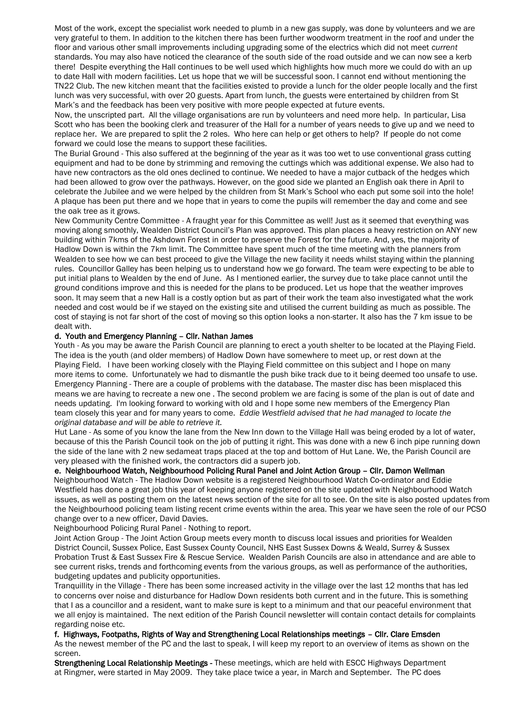Most of the work, except the specialist work needed to plumb in a new gas supply, was done by volunteers and we are very grateful to them. In addition to the kitchen there has been further woodworm treatment in the roof and under the floor and various other small improvements including upgrading some of the electrics which did not meet *current* standards. You may also have noticed the clearance of the south side of the road outside and we can now see a kerb there! Despite everything the Hall continues to be well used which highlights how much more we could do with an up to date Hall with modern facilities. Let us hope that we will be successful soon. I cannot end without mentioning the TN22 Club. The new kitchen meant that the facilities existed to provide a lunch for the older people locally and the first lunch was very successful, with over 20 guests. Apart from lunch, the guests were entertained by children from St Mark's and the feedback has been very positive with more people expected at future events.

Now, the unscripted part. All the village organisations are run by volunteers and need more help. In particular, Lisa Scott who has been the booking clerk and treasurer of the Hall for a number of years needs to give up and we need to replace her. We are prepared to split the 2 roles. Who here can help or get others to help? If people do not come forward we could lose the means to support these facilities.

The Burial Ground - This also suffered at the beginning of the year as it was too wet to use conventional grass cutting equipment and had to be done by strimming and removing the cuttings which was additional expense. We also had to have new contractors as the old ones declined to continue. We needed to have a major cutback of the hedges which had been allowed to grow over the pathways. However, on the good side we planted an English oak there in April to celebrate the Jubilee and we were helped by the children from St Mark's School who each put some soil into the hole! A plaque has been put there and we hope that in years to come the pupils will remember the day and come and see the oak tree as it grows.

New Community Centre Committee - A fraught year for this Committee as well! Just as it seemed that everything was moving along smoothly, Wealden District Council's Plan was approved. This plan places a heavy restriction on ANY new building within 7kms of the Ashdown Forest in order to preserve the Forest for the future. And, yes, the majority of Hadlow Down is within the 7km limit. The Committee have spent much of the time meeting with the planners from Wealden to see how we can best proceed to give the Village the new facility it needs whilst staying within the planning rules. Councillor Galley has been helping us to understand how we go forward. The team were expecting to be able to put initial plans to Wealden by the end of June. As I mentioned earlier, the survey due to take place cannot until the ground conditions improve and this is needed for the plans to be produced. Let us hope that the weather improves soon. It may seem that a new Hall is a costly option but as part of their work the team also investigated what the work needed and cost would be if we stayed on the existing site and utilised the current building as much as possible. The cost of staying is not far short of the cost of moving so this option looks a non-starter. It also has the 7 km issue to be dealt with.

### d. Youth and Emergency Planning – Cllr. Nathan James

Youth - As you may be aware the Parish Council are planning to erect a youth shelter to be located at the Playing Field. The idea is the youth (and older members) of Hadlow Down have somewhere to meet up, or rest down at the Playing Field. I have been working closely with the Playing Field committee on this subject and I hope on many more items to come. Unfortunately we had to dismantle the push bike track due to it being deemed too unsafe to use. Emergency Planning - There are a couple of problems with the database. The master disc has been misplaced this means we are having to recreate a new one . The second problem we are facing is some of the plan is out of date and needs updating. I'm looking forward to working with old and I hope some new members of the Emergency Plan team closely this year and for many years to come. *Eddie Westfield advised that he had managed to locate the original database and will be able to retrieve it.*

Hut Lane - As some of you know the lane from the New Inn down to the Village Hall was being eroded by a lot of water, because of this the Parish Council took on the job of putting it right. This was done with a new 6 inch pipe running down the side of the lane with 2 new sedameat traps placed at the top and bottom of Hut Lane. We, the Parish Council are very pleased with the finished work, the contractors did a superb job.

#### e. Neighbourhood Watch, Neighbourhood Policing Rural Panel and Joint Action Group – Cllr. Damon Wellman

 Neighbourhood Watch - The Hadlow Down website is a registered Neighbourhood Watch Co-ordinator and Eddie Westfield has done a great job this year of keeping anyone registered on the site updated with Neighbourhood Watch issues, as well as posting them on the latest news section of the site for all to see. On the site is also posted updates from the Neighbourhood policing team listing recent crime events within the area. This year we have seen the role of our PCSO change over to a new officer, David Davies.

Neighbourhood Policing Rural Panel - Nothing to report.

Joint Action Group - The Joint Action Group meets every month to discuss local issues and priorities for Wealden District Council, Sussex Police, East Sussex County Council, NHS East Sussex Downs & Weald, Surrey & Sussex Probation Trust & East Sussex Fire & Rescue Service. Wealden Parish Councils are also in attendance and are able to see current risks, trends and forthcoming events from the various groups, as well as performance of the authorities, budgeting updates and publicity opportunities.

Tranquillity in the Village - There has been some increased activity in the village over the last 12 months that has led to concerns over noise and disturbance for Hadlow Down residents both current and in the future. This is something that I as a councillor and a resident, want to make sure is kept to a minimum and that our peaceful environment that we all enjoy is maintained. The next edition of the Parish Council newsletter will contain contact details for complaints regarding noise etc.

#### f. Highways, Footpaths, Rights of Way and Strengthening Local Relationships meetings – Cllr. Clare Emsden

 As the newest member of the PC and the last to speak, I will keep my report to an overview of items as shown on the screen.

Strengthening Local Relationship Meetings - These meetings, which are held with ESCC Highways Department at Ringmer, were started in May 2009. They take place twice a year, in March and September. The PC does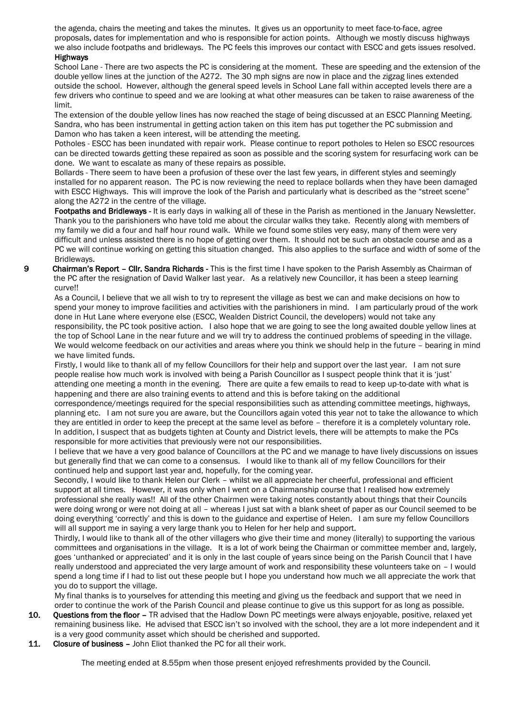the agenda, chairs the meeting and takes the minutes. It gives us an opportunity to meet face-to-face, agree proposals, dates for implementation and who is responsible for action points. Although we mostly discuss highways we also include footpaths and bridleways. The PC feels this improves our contact with ESCC and gets issues resolved. Highways

School Lane - There are two aspects the PC is considering at the moment. These are speeding and the extension of the double yellow lines at the junction of the A272. The 30 mph signs are now in place and the zigzag lines extended outside the school. However, although the general speed levels in School Lane fall within accepted levels there are a few drivers who continue to speed and we are looking at what other measures can be taken to raise awareness of the limit.

The extension of the double yellow lines has now reached the stage of being discussed at an ESCC Planning Meeting. Sandra, who has been instrumental in getting action taken on this item has put together the PC submission and Damon who has taken a keen interest, will be attending the meeting.

Potholes - ESCC has been inundated with repair work. Please continue to report potholes to Helen so ESCC resources can be directed towards getting these repaired as soon as possible and the scoring system for resurfacing work can be done. We want to escalate as many of these repairs as possible.

Bollards - There seem to have been a profusion of these over the last few years, in different styles and seemingly installed for no apparent reason. The PC is now reviewing the need to replace bollards when they have been damaged with ESCC Highways. This will improve the look of the Parish and particularly what is described as the "street scene" along the A272 in the centre of the village.

Footpaths and Bridleways - It is early days in walking all of these in the Parish as mentioned in the January Newsletter. Thank you to the parishioners who have told me about the circular walks they take. Recently along with members of my family we did a four and half hour round walk. While we found some stiles very easy, many of them were very difficult and unless assisted there is no hope of getting over them. It should not be such an obstacle course and as a PC we will continue working on getting this situation changed. This also applies to the surface and width of some of the Bridleways.

9 Chairman's Report – Cllr. Sandra Richards - This is the first time I have spoken to the Parish Assembly as Chairman of the PC after the resignation of David Walker last year. As a relatively new Councillor, it has been a steep learning curve!!

As a Council, I believe that we all wish to try to represent the village as best we can and make decisions on how to spend your money to improve facilities and activities with the parishioners in mind. I am particularly proud of the work done in Hut Lane where everyone else (ESCC, Wealden District Council, the developers) would not take any responsibility, the PC took positive action. I also hope that we are going to see the long awaited double yellow lines at the top of School Lane in the near future and we will try to address the continued problems of speeding in the village. We would welcome feedback on our activities and areas where you think we should help in the future – bearing in mind we have limited funds.

Firstly, I would like to thank all of my fellow Councillors for their help and support over the last year. I am not sure people realise how much work is involved with being a Parish Councillor as I suspect people think that it is 'just' attending one meeting a month in the evening. There are quite a few emails to read to keep up-to-date with what is happening and there are also training events to attend and this is before taking on the additional

correspondence/meetings required for the special responsibilities such as attending committee meetings, highways, planning etc. I am not sure you are aware, but the Councillors again voted this year not to take the allowance to which they are entitled in order to keep the precept at the same level as before – therefore it is a completely voluntary role. In addition, I suspect that as budgets tighten at County and District levels, there will be attempts to make the PCs responsible for more activities that previously were not our responsibilities.

I believe that we have a very good balance of Councillors at the PC and we manage to have lively discussions on issues but generally find that we can come to a consensus. I would like to thank all of my fellow Councillors for their continued help and support last year and, hopefully, for the coming year.

Secondly, I would like to thank Helen our Clerk – whilst we all appreciate her cheerful, professional and efficient support at all times. However, it was only when I went on a Chairmanship course that I realised how extremely professional she really was!! All of the other Chairmen were taking notes constantly about things that their Councils were doing wrong or were not doing at all – whereas I just sat with a blank sheet of paper as our Council seemed to be doing everything 'correctly' and this is down to the guidance and expertise of Helen. I am sure my fellow Councillors will all support me in saying a very large thank you to Helen for her help and support.

Thirdly, I would like to thank all of the other villagers who give their time and money (literally) to supporting the various committees and organisations in the village. It is a lot of work being the Chairman or committee member and, largely, goes 'unthanked or appreciated' and it is only in the last couple of years since being on the Parish Council that I have really understood and appreciated the very large amount of work and responsibility these volunteers take on – I would spend a long time if I had to list out these people but I hope you understand how much we all appreciate the work that you do to support the village.

My final thanks is to yourselves for attending this meeting and giving us the feedback and support that we need in order to continue the work of the Parish Council and please continue to give us this support for as long as possible.

- 10. Questions from the floor TR advised that the Hadlow Down PC meetings were always enjoyable, positive, relaxed yet remaining business like. He advised that ESCC isn't so involved with the school, they are a lot more independent and it is a very good community asset which should be cherished and supported.
- 11. Closure of business John Eliot thanked the PC for all their work.

The meeting ended at 8.55pm when those present enjoyed refreshments provided by the Council.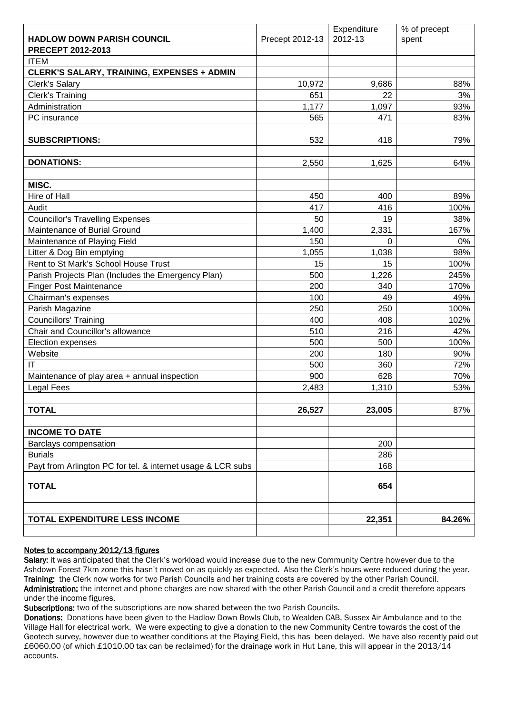|                                                             |                 | Expenditure | % of precept |
|-------------------------------------------------------------|-----------------|-------------|--------------|
| <b>HADLOW DOWN PARISH COUNCIL</b>                           | Precept 2012-13 | 2012-13     | spent        |
| PRECEPT 2012-2013                                           |                 |             |              |
| <b>ITEM</b>                                                 |                 |             |              |
| <b>CLERK'S SALARY, TRAINING, EXPENSES + ADMIN</b>           |                 |             |              |
| Clerk's Salary                                              | 10,972          | 9,686       | 88%          |
| <b>Clerk's Training</b>                                     | 651             | 22          | 3%           |
| Administration                                              | 1,177           | 1,097       | 93%          |
| PC insurance                                                | 565             | 471         | 83%          |
|                                                             |                 |             |              |
| <b>SUBSCRIPTIONS:</b>                                       | 532             | 418         | 79%          |
|                                                             |                 |             |              |
| <b>DONATIONS:</b>                                           | 2,550           | 1,625       | 64%          |
|                                                             |                 |             |              |
| MISC.                                                       |                 |             |              |
| Hire of Hall                                                | 450             | 400         | 89%          |
| Audit                                                       | 417             | 416         | 100%         |
| <b>Councillor's Travelling Expenses</b>                     | 50              | 19          | 38%          |
| Maintenance of Burial Ground                                | 1,400           | 2,331       | 167%         |
| Maintenance of Playing Field                                | 150             | $\Omega$    | $0\%$        |
| Litter & Dog Bin emptying                                   | 1,055           | 1,038       | 98%          |
| Rent to St Mark's School House Trust                        | 15              | 15          | 100%         |
| Parish Projects Plan (Includes the Emergency Plan)          | 500             | 1,226       | 245%         |
| <b>Finger Post Maintenance</b>                              | 200             | 340         | 170%         |
| Chairman's expenses                                         | 100             | 49          | 49%          |
| Parish Magazine                                             | 250             | 250         | 100%         |
| <b>Councillors' Training</b>                                | 400             | 408         | 102%         |
| Chair and Councillor's allowance                            | 510             | 216         | 42%          |
| Election expenses                                           | 500             | 500         | 100%         |
| Website                                                     | 200             | 180         | 90%          |
| IT                                                          | 500             | 360         | 72%          |
| Maintenance of play area + annual inspection                | 900             | 628         | 70%          |
| <b>Legal Fees</b>                                           | 2,483           | 1,310       | 53%          |
|                                                             |                 |             |              |
| <b>TOTAL</b>                                                | 26,527          | 23,005      | 87%          |
|                                                             |                 |             |              |
| <b>INCOME TO DATE</b>                                       |                 |             |              |
| Barclays compensation                                       |                 | 200         |              |
| <b>Burials</b>                                              |                 | 286         |              |
| Payt from Arlington PC for tel. & internet usage & LCR subs |                 | 168         |              |
|                                                             |                 |             |              |
| <b>TOTAL</b>                                                |                 | 654         |              |
|                                                             |                 |             |              |
|                                                             |                 |             |              |
| TOTAL EXPENDITURE LESS INCOME                               |                 | 22,351      | 84.26%       |
|                                                             |                 |             |              |

# Notes to accompany 2012/13 figures

Salary: it was anticipated that the Clerk's workload would increase due to the new Community Centre however due to the Ashdown Forest 7km zone this hasn't moved on as quickly as expected. Also the Clerk's hours were reduced during the year. Training: the Clerk now works for two Parish Councils and her training costs are covered by the other Parish Council. Administration: the internet and phone charges are now shared with the other Parish Council and a credit therefore appears under the income figures.

Subscriptions: two of the subscriptions are now shared between the two Parish Councils.

Donations: Donations have been given to the Hadlow Down Bowls Club, to Wealden CAB, Sussex Air Ambulance and to the Village Hall for electrical work. We were expecting to give a donation to the new Community Centre towards the cost of the Geotech survey, however due to weather conditions at the Playing Field, this has been delayed. We have also recently paid out £6060.00 (of which £1010.00 tax can be reclaimed) for the drainage work in Hut Lane, this will appear in the 2013/14 accounts.